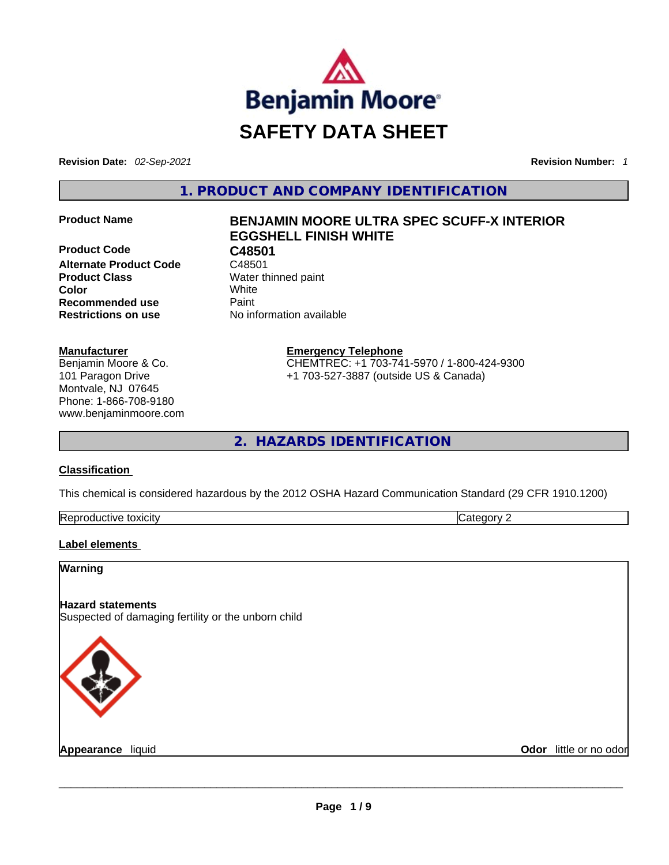

**Revision Date:** *02-Sep-2021* **Revision Number:** *1*

**1. PRODUCT AND COMPANY IDENTIFICATION** 

**Product Code C48501**<br>**Alternate Product Code** C48501 **Alternate Product Code Product Class Water thinned paint Color** White **Recommended use <b>Paint Restrictions on use** No information available

#### **Manufacturer**

Benjamin Moore & Co. 101 Paragon Drive Montvale, NJ 07645 Phone: 1-866-708-9180 www.benjaminmoore.com

# **Product Name BENJAMIN MOORE ULTRA SPEC SCUFF-X INTERIOR EGGSHELL FINISH WHITE**

**Emergency Telephone** CHEMTREC: +1 703-741-5970 / 1-800-424-9300 +1 703-527-3887 (outside US & Canada)

**2. HAZARDS IDENTIFICATION** 

#### **Classification**

This chemical is considered hazardous by the 2012 OSHA Hazard Communication Standard (29 CFR 1910.1200)

| Reprod<br>toxicity<br>Jductive ** | ----<br>,,,,, |
|-----------------------------------|---------------|
|                                   |               |

#### **Label elements**

**Warning** 

#### **Hazard statements**

Suspected of damaging fertility or the unborn child



**Appearance** liquid **Odor** little or no odor \_\_\_\_\_\_\_\_\_\_\_\_\_\_\_\_\_\_\_\_\_\_\_\_\_\_\_\_\_\_\_\_\_\_\_\_\_\_\_\_\_\_\_\_\_\_\_\_\_\_\_\_\_\_\_\_\_\_\_\_\_\_\_\_\_\_\_\_\_\_\_\_\_\_\_\_\_\_\_\_\_\_\_\_\_\_\_\_\_\_\_\_\_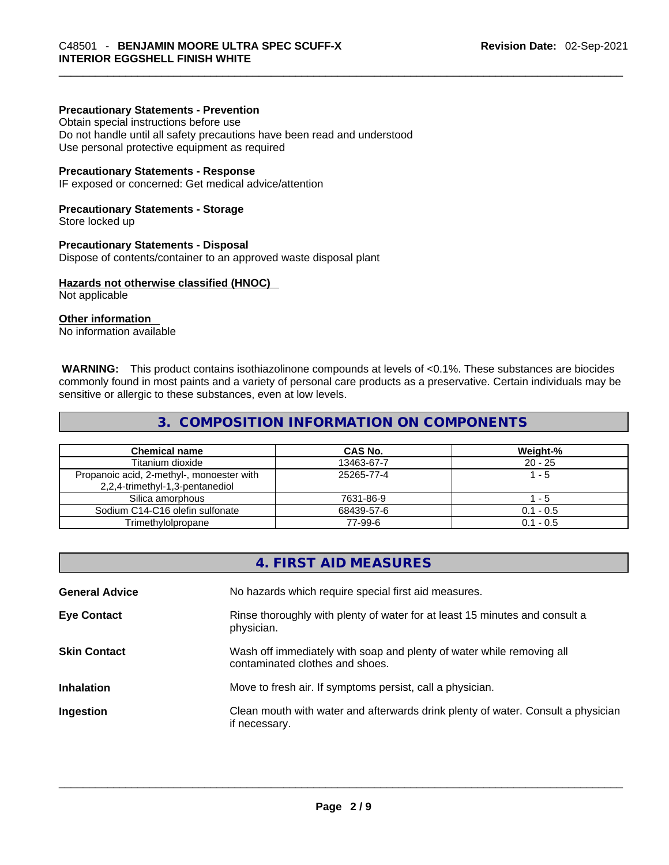#### **Precautionary Statements - Prevention**

Obtain special instructions before use Do not handle until all safety precautions have been read and understood Use personal protective equipment as required

#### **Precautionary Statements - Response**

IF exposed or concerned: Get medical advice/attention

#### **Precautionary Statements - Storage**

Store locked up

#### **Precautionary Statements - Disposal**

Dispose of contents/container to an approved waste disposal plant

#### **Hazards not otherwise classified (HNOC)**

Not applicable

#### **Other information**

No information available

 **WARNING:** This product contains isothiazolinone compounds at levels of <0.1%. These substances are biocides commonly found in most paints and a variety of personal care products as a preservative. Certain individuals may be sensitive or allergic to these substances, even at low levels.

#### **3. COMPOSITION INFORMATION ON COMPONENTS**

| <b>Chemical name</b>                                                         | CAS No.    | Weight-%    |
|------------------------------------------------------------------------------|------------|-------------|
| Titanium dioxide                                                             | 13463-67-7 | $20 - 25$   |
| Propanoic acid, 2-methyl-, monoester with<br>2,2,4-trimethyl-1,3-pentanediol | 25265-77-4 | $1 - 5$     |
| Silica amorphous                                                             | 7631-86-9  | - 5         |
| Sodium C14-C16 olefin sulfonate                                              | 68439-57-6 | $0.1 - 0.5$ |
| Trimethylolpropane                                                           | 77-99-6    | $0.1 - 0.5$ |

|                       | 4. FIRST AID MEASURES                                                                                    |
|-----------------------|----------------------------------------------------------------------------------------------------------|
| <b>General Advice</b> | No hazards which require special first aid measures.                                                     |
| <b>Eye Contact</b>    | Rinse thoroughly with plenty of water for at least 15 minutes and consult a<br>physician.                |
| <b>Skin Contact</b>   | Wash off immediately with soap and plenty of water while removing all<br>contaminated clothes and shoes. |
| <b>Inhalation</b>     | Move to fresh air. If symptoms persist, call a physician.                                                |
| Ingestion             | Clean mouth with water and afterwards drink plenty of water. Consult a physician<br>if necessary.        |
|                       |                                                                                                          |
|                       |                                                                                                          |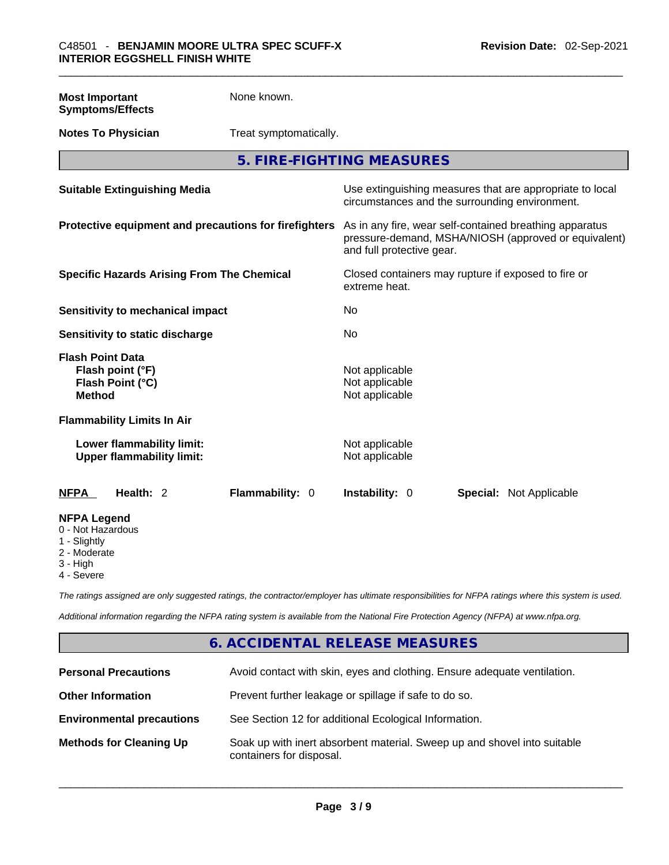None known.

| <b>Symptoms/Effects</b>                                                          |                                                                                                                                              |
|----------------------------------------------------------------------------------|----------------------------------------------------------------------------------------------------------------------------------------------|
| <b>Notes To Physician</b><br>Treat symptomatically.                              |                                                                                                                                              |
|                                                                                  | 5. FIRE-FIGHTING MEASURES                                                                                                                    |
| <b>Suitable Extinguishing Media</b>                                              | Use extinguishing measures that are appropriate to local<br>circumstances and the surrounding environment.                                   |
| Protective equipment and precautions for firefighters                            | As in any fire, wear self-contained breathing apparatus<br>pressure-demand, MSHA/NIOSH (approved or equivalent)<br>and full protective gear. |
| <b>Specific Hazards Arising From The Chemical</b>                                | Closed containers may rupture if exposed to fire or<br>extreme heat.                                                                         |
| <b>Sensitivity to mechanical impact</b>                                          | No                                                                                                                                           |
| Sensitivity to static discharge                                                  | No                                                                                                                                           |
| <b>Flash Point Data</b><br>Flash point (°F)<br>Flash Point (°C)<br><b>Method</b> | Not applicable<br>Not applicable<br>Not applicable                                                                                           |
| <b>Flammability Limits In Air</b>                                                |                                                                                                                                              |
| Lower flammability limit:<br><b>Upper flammability limit:</b>                    | Not applicable<br>Not applicable                                                                                                             |
| Health: 2<br>Flammability: 0<br><b>NFPA</b>                                      | Instability: 0<br><b>Special: Not Applicable</b>                                                                                             |
| <b>NFPA Legend</b><br>0 - Not Hazardous<br>1 - Slightly                          |                                                                                                                                              |

2 - Moderate

**Most Important** 

- 
- 3 High
- 4 Severe

*The ratings assigned are only suggested ratings, the contractor/employer has ultimate responsibilities for NFPA ratings where this system is used.* 

*Additional information regarding the NFPA rating system is available from the National Fire Protection Agency (NFPA) at www.nfpa.org.* 

## **6. ACCIDENTAL RELEASE MEASURES**

| <b>Personal Precautions</b>      | Avoid contact with skin, eyes and clothing. Ensure adequate ventilation.                             |
|----------------------------------|------------------------------------------------------------------------------------------------------|
| <b>Other Information</b>         | Prevent further leakage or spillage if safe to do so.                                                |
| <b>Environmental precautions</b> | See Section 12 for additional Ecological Information.                                                |
| <b>Methods for Cleaning Up</b>   | Soak up with inert absorbent material. Sweep up and shovel into suitable<br>containers for disposal. |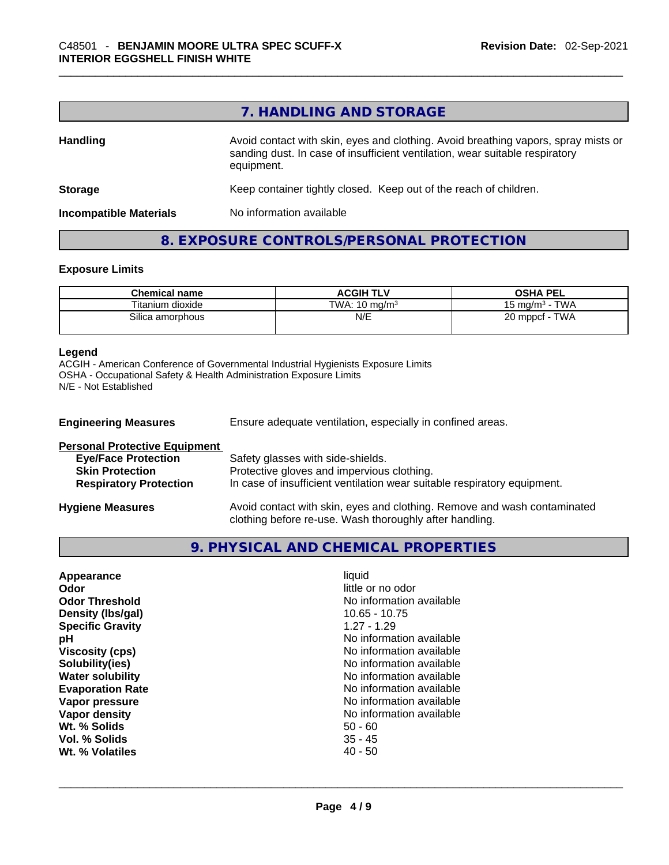# **7. HANDLING AND STORAGE**

| <b>Handling</b>               | Avoid contact with skin, eyes and clothing. Avoid breathing vapors, spray mists or<br>sanding dust. In case of insufficient ventilation, wear suitable respiratory<br>equipment. |  |
|-------------------------------|----------------------------------------------------------------------------------------------------------------------------------------------------------------------------------|--|
| <b>Storage</b>                | Keep container tightly closed. Keep out of the reach of children.                                                                                                                |  |
| <b>Incompatible Materials</b> | No information available                                                                                                                                                         |  |

### **8. EXPOSURE CONTROLS/PERSONAL PROTECTION**

#### **Exposure Limits**

| <b>Chemical name</b> | <b>ACGIH TLV</b>         | <b>OSHA PEL</b>              |
|----------------------|--------------------------|------------------------------|
| Titanium dioxide     | TWA: $10 \text{ ma/m}^3$ | <b>TWA</b><br>15 ma/m $^3\,$ |
| Silica amorphous     | N/E                      | TWA<br>20 mppcf              |

#### **Legend**

ACGIH - American Conference of Governmental Industrial Hygienists Exposure Limits OSHA - Occupational Safety & Health Administration Exposure Limits N/E - Not Established

| <b>Engineering Measures</b>          | Ensure adequate ventilation, especially in confined areas.                                                                          |  |  |
|--------------------------------------|-------------------------------------------------------------------------------------------------------------------------------------|--|--|
| <b>Personal Protective Equipment</b> |                                                                                                                                     |  |  |
| <b>Eye/Face Protection</b>           | Safety glasses with side-shields.                                                                                                   |  |  |
| <b>Skin Protection</b>               | Protective gloves and impervious clothing.                                                                                          |  |  |
| <b>Respiratory Protection</b>        | In case of insufficient ventilation wear suitable respiratory equipment.                                                            |  |  |
| <b>Hygiene Measures</b>              | Avoid contact with skin, eyes and clothing. Remove and wash contaminated<br>clothing before re-use. Wash thoroughly after handling. |  |  |

# **9. PHYSICAL AND CHEMICAL PROPERTIES**

| Appearance              | liquid                   |  |
|-------------------------|--------------------------|--|
| Odor                    | little or no odor        |  |
| <b>Odor Threshold</b>   | No information available |  |
| Density (Ibs/gal)       | $10.65 - 10.75$          |  |
| <b>Specific Gravity</b> | $1.27 - 1.29$            |  |
| рH                      | No information available |  |
| <b>Viscosity (cps)</b>  | No information available |  |
| Solubility(ies)         | No information available |  |
| <b>Water solubility</b> | No information available |  |
| <b>Evaporation Rate</b> | No information available |  |
| Vapor pressure          | No information available |  |
| Vapor density           | No information available |  |
| Wt. % Solids            | $50 - 60$                |  |
| Vol. % Solids           | $35 - 45$                |  |
| Wt. % Volatiles         | $40 - 50$                |  |
|                         |                          |  |
|                         |                          |  |
|                         |                          |  |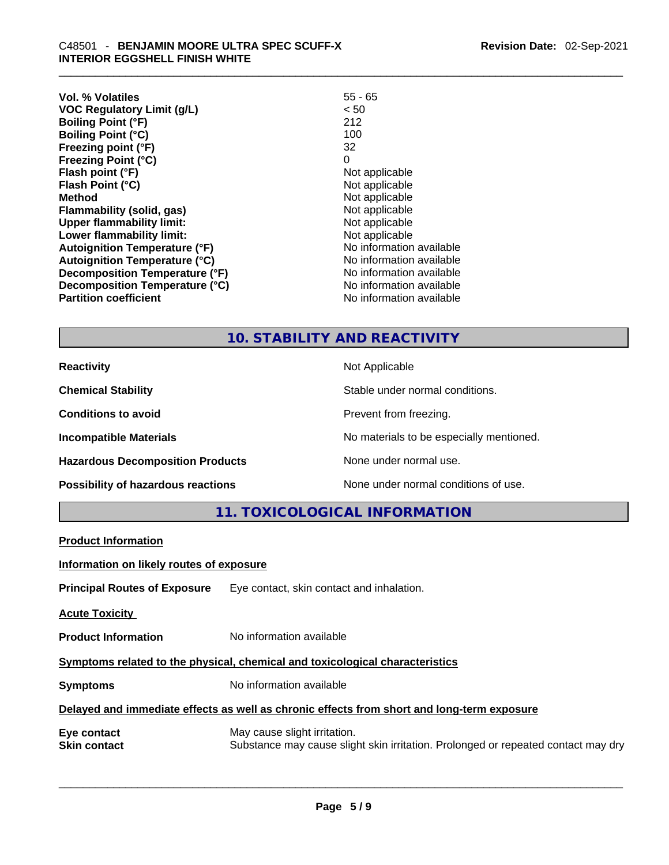| Vol. % Volatiles                     | $55 - 65$                |
|--------------------------------------|--------------------------|
| <b>VOC Regulatory Limit (g/L)</b>    | < 50                     |
| <b>Boiling Point (°F)</b>            | 212                      |
| <b>Boiling Point (°C)</b>            | 100                      |
| Freezing point (°F)                  | 32                       |
| <b>Freezing Point (°C)</b>           | 0                        |
| Flash point (°F)                     | Not applicable           |
| Flash Point (°C)                     | Not applicable           |
| <b>Method</b>                        | Not applicable           |
| <b>Flammability (solid, gas)</b>     | Not applicable           |
| <b>Upper flammability limit:</b>     | Not applicable           |
| Lower flammability limit:            | Not applicable           |
| <b>Autoignition Temperature (°F)</b> | No information available |
| <b>Autoignition Temperature (°C)</b> | No information available |
| Decomposition Temperature (°F)       | No information available |
| Decomposition Temperature (°C)       | No information available |
| <b>Partition coefficient</b>         | No information available |

# **10. STABILITY AND REACTIVITY**

| <b>Reactivity</b>                       | Not Applicable                           |
|-----------------------------------------|------------------------------------------|
| <b>Chemical Stability</b>               | Stable under normal conditions.          |
| <b>Conditions to avoid</b>              | Prevent from freezing.                   |
| <b>Incompatible Materials</b>           | No materials to be especially mentioned. |
| <b>Hazardous Decomposition Products</b> | None under normal use.                   |
| Possibility of hazardous reactions      | None under normal conditions of use.     |

**11. TOXICOLOGICAL INFORMATION** 

| <b>Product Information</b>                                                                 |                                                                                                                   |  |
|--------------------------------------------------------------------------------------------|-------------------------------------------------------------------------------------------------------------------|--|
| Information on likely routes of exposure                                                   |                                                                                                                   |  |
|                                                                                            | <b>Principal Routes of Exposure</b> Eye contact, skin contact and inhalation.                                     |  |
| <b>Acute Toxicity</b>                                                                      |                                                                                                                   |  |
| <b>Product Information</b>                                                                 | No information available                                                                                          |  |
| Symptoms related to the physical, chemical and toxicological characteristics               |                                                                                                                   |  |
| <b>Symptoms</b>                                                                            | No information available                                                                                          |  |
| Delayed and immediate effects as well as chronic effects from short and long-term exposure |                                                                                                                   |  |
| Eye contact<br><b>Skin contact</b>                                                         | May cause slight irritation.<br>Substance may cause slight skin irritation. Prolonged or repeated contact may dry |  |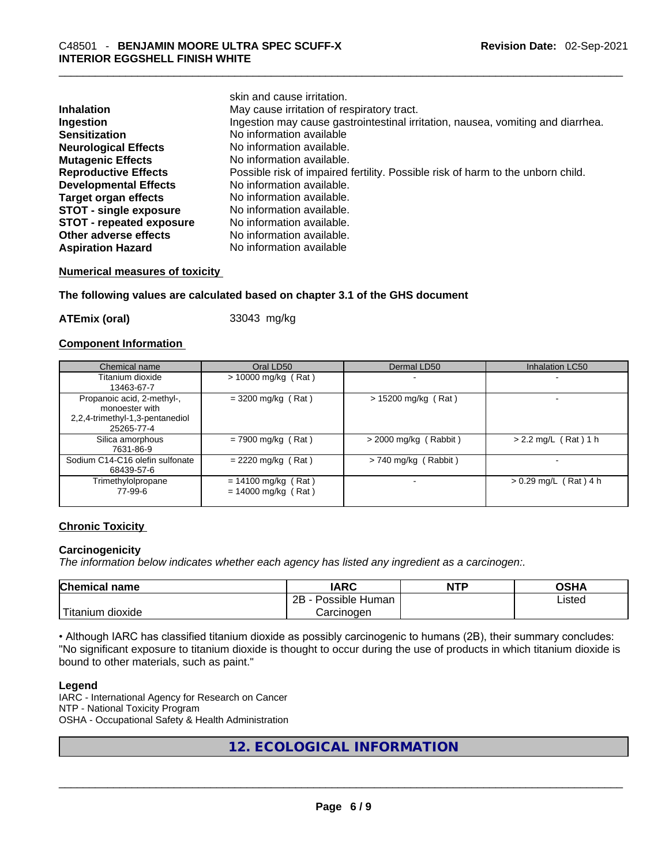|                                 | skin and cause irritation.                                                      |
|---------------------------------|---------------------------------------------------------------------------------|
| <b>Inhalation</b>               | May cause irritation of respiratory tract.                                      |
| Ingestion                       | Ingestion may cause gastrointestinal irritation, nausea, vomiting and diarrhea. |
| <b>Sensitization</b>            | No information available                                                        |
| <b>Neurological Effects</b>     | No information available.                                                       |
| <b>Mutagenic Effects</b>        | No information available.                                                       |
| <b>Reproductive Effects</b>     | Possible risk of impaired fertility. Possible risk of harm to the unborn child. |
| <b>Developmental Effects</b>    | No information available.                                                       |
| <b>Target organ effects</b>     | No information available.                                                       |
| <b>STOT - single exposure</b>   | No information available.                                                       |
| <b>STOT - repeated exposure</b> | No information available.                                                       |
| Other adverse effects           | No information available.                                                       |
| <b>Aspiration Hazard</b>        | No information available                                                        |

#### **Numerical measures of toxicity**

#### **The following values are calculated based on chapter 3.1 of the GHS document**

**ATEmix (oral)** 33043 mg/kg

#### **Component Information**

| Chemical name                                                                                 | Oral LD50                                      | Dermal LD50             | Inhalation LC50         |
|-----------------------------------------------------------------------------------------------|------------------------------------------------|-------------------------|-------------------------|
| Titanium dioxide<br>13463-67-7                                                                | $> 10000$ mg/kg (Rat)                          |                         |                         |
| Propanoic acid, 2-methyl-,<br>monoester with<br>2,2,4-trimethyl-1,3-pentanediol<br>25265-77-4 | $=$ 3200 mg/kg (Rat)                           | $> 15200$ mg/kg (Rat)   |                         |
| Silica amorphous<br>7631-86-9                                                                 | $= 7900$ mg/kg (Rat)                           | $>$ 2000 mg/kg (Rabbit) | $> 2.2$ mg/L (Rat) 1 h  |
| Sodium C14-C16 olefin sulfonate<br>68439-57-6                                                 | $= 2220$ mg/kg (Rat)                           | $> 740$ mg/kg (Rabbit)  |                         |
| Trimethylolpropane<br>77-99-6                                                                 | $= 14100$ mg/kg (Rat)<br>$= 14000$ mg/kg (Rat) |                         | $> 0.29$ mg/L (Rat) 4 h |

#### **Chronic Toxicity**

#### **Carcinogenicity**

*The information below indicates whether each agency has listed any ingredient as a carcinogen:.* 

| <b>Chemical name</b>                 | IARC                 | <b>NTP</b> | OSHA   |
|--------------------------------------|----------------------|------------|--------|
|                                      | 2B<br>Possible Human |            | Listed |
| $\mathbf{r}$<br>l itaniun<br>dioxide | ∴arcinoαen           |            |        |

• Although IARC has classified titanium dioxide as possibly carcinogenic to humans (2B), their summary concludes: "No significant exposure to titanium dioxide is thought to occur during the use of products in which titanium dioxide is bound to other materials, such as paint."

#### **Legend**

IARC - International Agency for Research on Cancer NTP - National Toxicity Program OSHA - Occupational Safety & Health Administration

## **12. ECOLOGICAL INFORMATION**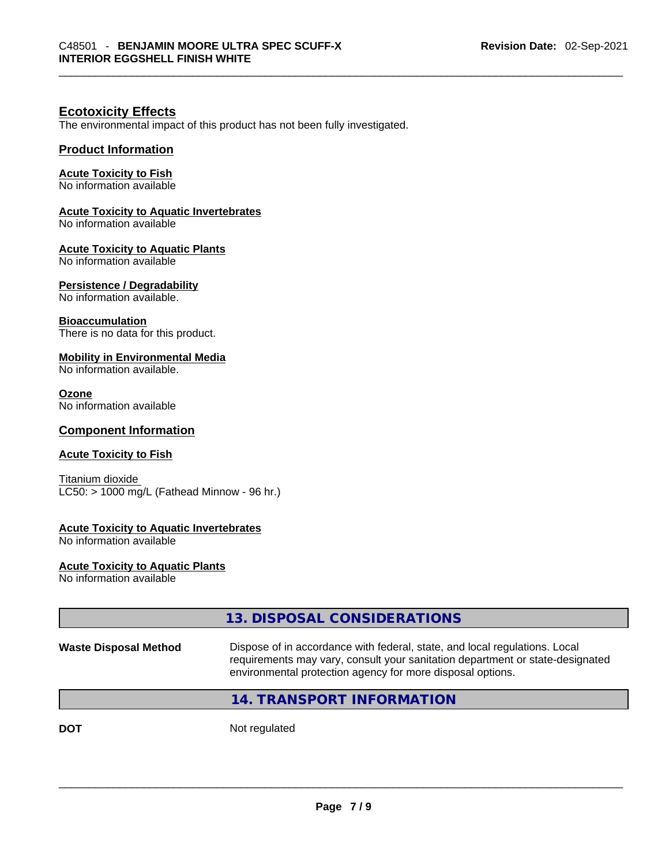#### **Ecotoxicity Effects**

The environmental impact of this product has not been fully investigated.

#### **Product Information**

#### **Acute Toxicity to Fish**

No information available

#### **Acute Toxicity to Aquatic Invertebrates**

No information available

#### **Acute Toxicity to Aquatic Plants**

No information available

#### **Persistence / Degradability**

No information available.

#### **Bioaccumulation**

There is no data for this product.

#### **Mobility in Environmental Media**

No information available.

#### **Ozone**

No information available

#### **Component Information**

#### **Acute Toxicity to Fish**

Titanium dioxide  $LC50:$  > 1000 mg/L (Fathead Minnow - 96 hr.)

#### **Acute Toxicity to Aquatic Invertebrates**

No information available

# **Acute Toxicity to Aquatic Plants**

No information available

| Dispose of in accordance with federal, state, and local regulations. Local<br>requirements may vary, consult your sanitation department or state-designated<br>environmental protection agency for more disposal options.<br>14. TRANSPORT INFORMATION |                              | 13. DISPOSAL CONSIDERATIONS |
|--------------------------------------------------------------------------------------------------------------------------------------------------------------------------------------------------------------------------------------------------------|------------------------------|-----------------------------|
|                                                                                                                                                                                                                                                        | <b>Waste Disposal Method</b> |                             |
|                                                                                                                                                                                                                                                        |                              |                             |

**DOT** Not regulated  $\blacksquare$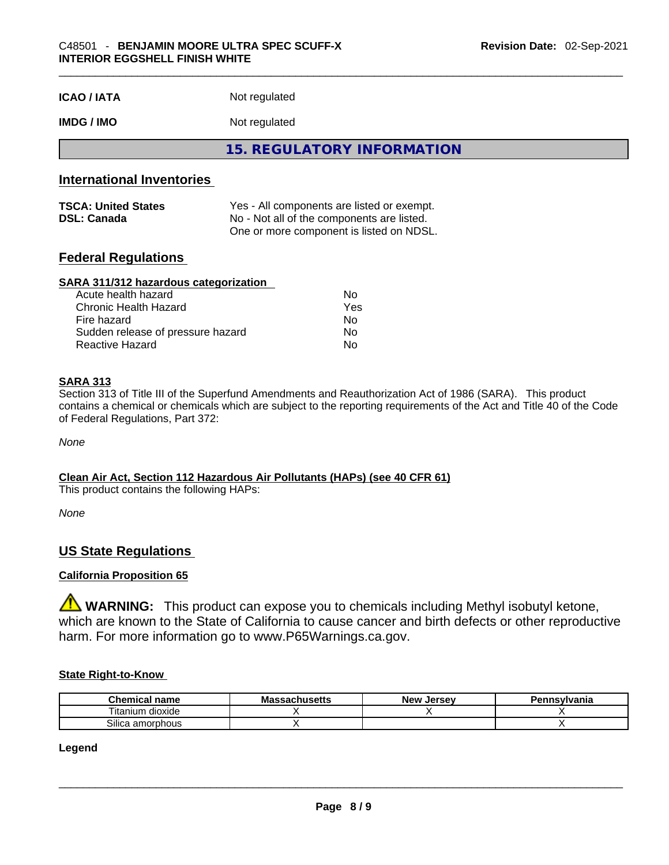| <b>ICAO/IATA</b> | Not regulated |
|------------------|---------------|
|------------------|---------------|

### **IMDG / IMO** Not regulated

**15. REGULATORY INFORMATION** 

### **International Inventories**

| <b>TSCA: United States</b>                                       | Yes - All components are listed or exempt. |
|------------------------------------------------------------------|--------------------------------------------|
| No - Not all of the components are listed.<br><b>DSL: Canada</b> |                                            |
|                                                                  | One or more component is listed on NDSL.   |

#### **Federal Regulations**

#### **SARA 311/312 hazardous categorization**

| Acute health hazard               | Nο  |  |
|-----------------------------------|-----|--|
| Chronic Health Hazard             | Yes |  |
| Fire hazard                       | Nο  |  |
| Sudden release of pressure hazard | Nο  |  |
| Reactive Hazard                   | Nο  |  |

#### **SARA 313**

Section 313 of Title III of the Superfund Amendments and Reauthorization Act of 1986 (SARA). This product contains a chemical or chemicals which are subject to the reporting requirements of the Act and Title 40 of the Code of Federal Regulations, Part 372:

*None*

**Clean Air Act,Section 112 Hazardous Air Pollutants (HAPs) (see 40 CFR 61)** This product contains the following HAPs:

*None*

## **US State Regulations**

#### **California Proposition 65**

**WARNING:** This product can expose you to chemicals including Methyl isobutyl ketone, which are known to the State of California to cause cancer and birth defects or other reproductive harm. For more information go to www.P65Warnings.ca.gov.

#### **State Right-to-Know**

| <b>Chemical</b><br>name                   | <b>Massachusetts</b> | <b>New</b><br>. Jersev | Pennsvlvania |
|-------------------------------------------|----------------------|------------------------|--------------|
| <br>$- \cdot$ .<br>l itanium<br>i dioxide |                      |                        |              |
| ~…<br>Silica amorphous                    |                      |                        |              |

#### **Legend**